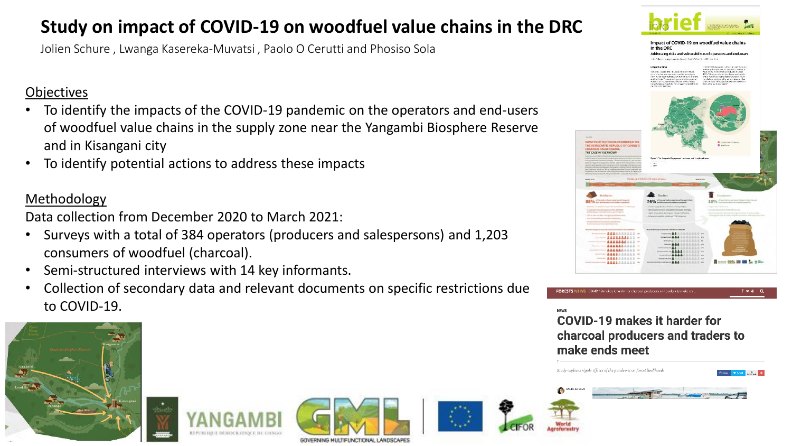# **Study on impact of COVID-19 on woodfuel value chains in the DRC**

Jolien Schure , Lwanga Kasereka-Muvatsi , Paolo O Cerutti and Phosiso Sola

### **Objectives**

- To identify the impacts of the COVID-19 pandemic on the operators and end-users of woodfuel value chains in the supply zone near the Yangambi Biosphere Reserve and in Kisangani city
- To identify potential actions to address these impacts

### Methodology

Data collection from December 2020 to March 2021:

- Surveys with a total of 384 operators (producers and salespersons) and 1,203 consumers of woodfuel (charcoal).
- Semi-structured interviews with 14 key informants.
- Collection of secondary data and relevant documents on specific restrictions due to COVID-19.



COVID-19 makes it harder for charcoal producers and traders to make ends meet









Study explores ripple effects of the pandemic on forest livelihoods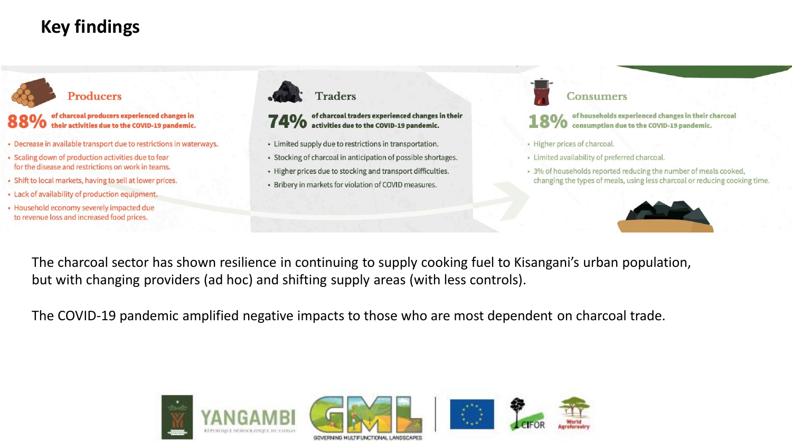# **Key findings**



- Decrease in available transport due to restrictions in waterways.
- Scaling down of production activities due to fear for the disease and restrictions on work in teams.
- Shift to local markets, having to sell at lower prices.
- Lack of availability of production equipment.
- · Household economy severely impacted due to revenue loss and increased food prices.





of charcoal traders experienced changes in their activities due to the COVID-19 pandemic.

- Limited supply due to restrictions in transportation.
- Stocking of charcoal in anticipation of possible shortages.
- Higher prices due to stocking and transport difficulties.
- Bribery in markets for violation of COVID measures.



of households experienced changes in their charcoal 70 consumption due to the COVID-19 pandemic.

- · Higher prices of charcoal.
- · Limited availability of preferred charcoal.
- 3% of households reported reducing the number of meals cooked, changing the types of meals, using less charcoal or reducing cooking time.



The charcoal sector has shown resilience in continuing to supply cooking fuel to Kisangani's urban population, but with changing providers (ad hoc) and shifting supply areas (with less controls).

The COVID-19 pandemic amplified negative impacts to those who are most dependent on charcoal trade.

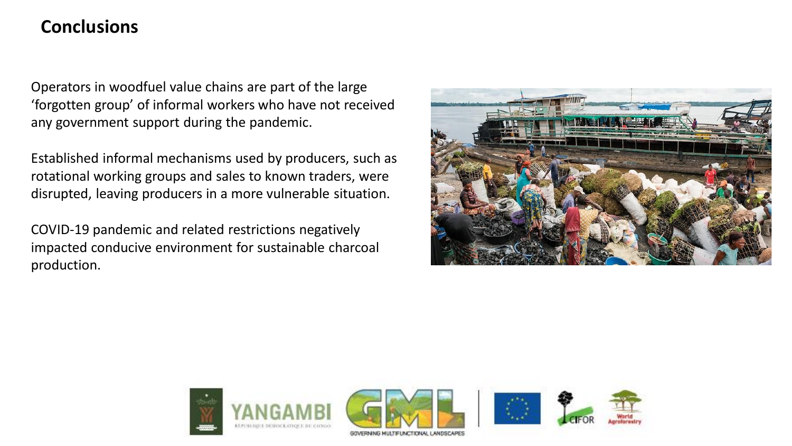## **Conclusions**

Operators in woodfuel value chains are part of the large 'forgotten group' of informal workers who have not received any government support during the pandemic.

Established informal mechanisms used by producers, such as rotational working groups and sales to known traders, were disrupted, leaving producers in a more vulnerable situation.

COVID-19 pandemic and related restrictions negatively impacted conducive environment for sustainable charcoal production.